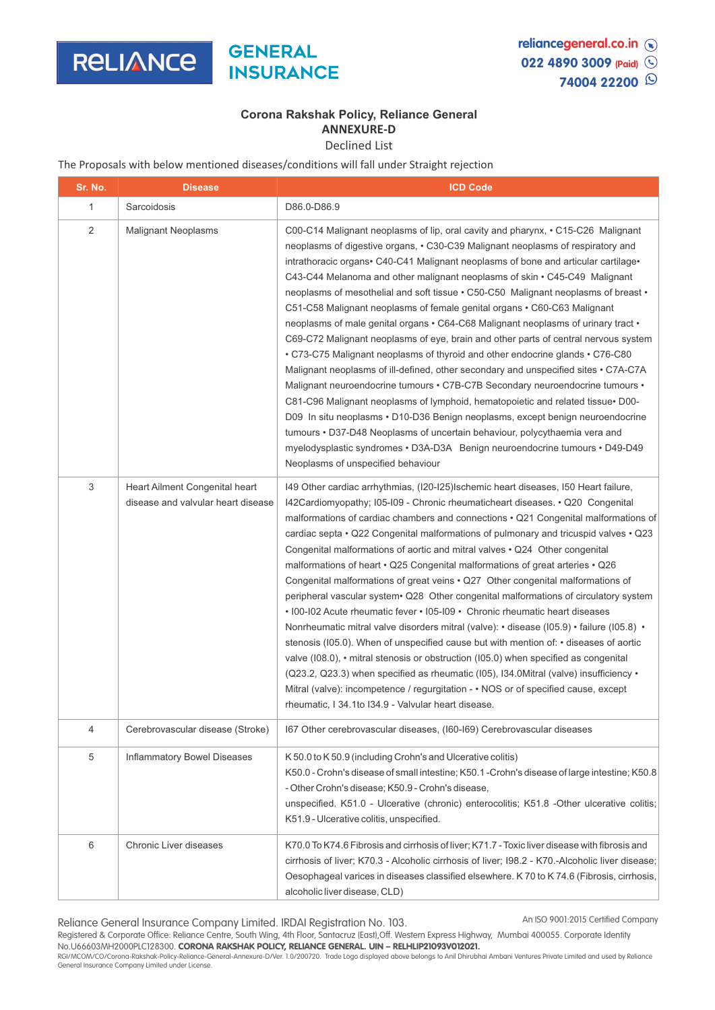

## **Corona Rakshak Policy, Reliance General ANNEXURE-D**

Declined List

The Proposals with below mentioned diseases/conditions will fall under Straight rejection

| Sr. No. | <b>Disease</b>                                                       | <b>ICD Code</b>                                                                                                                                                                                                                                                                                                                                                                                                                                                                                                                                                                                                                                                                                                                                                                                                                                                                                                                                                                                                                                                                                                                                                                                                                                                                                                          |
|---------|----------------------------------------------------------------------|--------------------------------------------------------------------------------------------------------------------------------------------------------------------------------------------------------------------------------------------------------------------------------------------------------------------------------------------------------------------------------------------------------------------------------------------------------------------------------------------------------------------------------------------------------------------------------------------------------------------------------------------------------------------------------------------------------------------------------------------------------------------------------------------------------------------------------------------------------------------------------------------------------------------------------------------------------------------------------------------------------------------------------------------------------------------------------------------------------------------------------------------------------------------------------------------------------------------------------------------------------------------------------------------------------------------------|
| 1       | Sarcoidosis                                                          | D86.0-D86.9                                                                                                                                                                                                                                                                                                                                                                                                                                                                                                                                                                                                                                                                                                                                                                                                                                                                                                                                                                                                                                                                                                                                                                                                                                                                                                              |
| 2       | <b>Malignant Neoplasms</b>                                           | C00-C14 Malignant neoplasms of lip, oral cavity and pharynx, • C15-C26 Malignant<br>neoplasms of digestive organs, • C30-C39 Malignant neoplasms of respiratory and<br>intrathoracic organs • C40-C41 Malignant neoplasms of bone and articular cartilage •<br>C43-C44 Melanoma and other malignant neoplasms of skin • C45-C49 Malignant<br>neoplasms of mesothelial and soft tissue • C50-C50 Malignant neoplasms of breast •<br>C51-C58 Malignant neoplasms of female genital organs • C60-C63 Malignant<br>neoplasms of male genital organs • C64-C68 Malignant neoplasms of urinary tract •<br>C69-C72 Malignant neoplasms of eye, brain and other parts of central nervous system<br>. C73-C75 Malignant neoplasms of thyroid and other endocrine glands . C76-C80<br>Malignant neoplasms of ill-defined, other secondary and unspecified sites • C7A-C7A<br>Malignant neuroendocrine tumours • C7B-C7B Secondary neuroendocrine tumours •<br>C81-C96 Malignant neoplasms of lymphoid, hematopoietic and related tissue• D00-<br>D09 In situ neoplasms · D10-D36 Benign neoplasms, except benign neuroendocrine<br>tumours • D37-D48 Neoplasms of uncertain behaviour, polycythaemia vera and<br>myelodysplastic syndromes · D3A-D3A Benign neuroendocrine tumours · D49-D49<br>Neoplasms of unspecified behaviour |
| 3       | Heart Ailment Congenital heart<br>disease and valvular heart disease | 149 Other cardiac arrhythmias, (120-125) Ischemic heart diseases, 150 Heart failure,<br>I42Cardiomyopathy; I05-I09 - Chronic rheumaticheart diseases. • Q20 Congenital<br>malformations of cardiac chambers and connections • Q21 Congenital malformations of<br>cardiac septa • Q22 Congenital malformations of pulmonary and tricuspid valves • Q23<br>Congenital malformations of aortic and mitral valves • Q24 Other congenital<br>malformations of heart • Q25 Congenital malformations of great arteries • Q26<br>Congenital malformations of great veins . Q27 Other congenital malformations of<br>peripheral vascular system Q28 Other congenital malformations of circulatory system<br>• 100-102 Acute rheumatic fever • 105-109 • Chronic rheumatic heart diseases<br>Nonrheumatic mitral valve disorders mitral (valve): • disease (105.9) • failure (105.8) •<br>stenosis (I05.0). When of unspecified cause but with mention of: • diseases of aortic<br>valve $(108.0)$ , $\cdot$ mitral stenosis or obstruction $(105.0)$ when specified as congenital<br>$(Q23.2, Q23.3)$ when specified as rheumatic (105), 134.0Mitral (valve) insufficiency $\cdot$<br>Mitral (valve): incompetence / regurgitation - . NOS or of specified cause, except<br>rheumatic, I 34.1to I34.9 - Valvular heart disease.   |
| 4       | Cerebrovascular disease (Stroke)                                     | 167 Other cerebrovascular diseases, (160-169) Cerebrovascular diseases                                                                                                                                                                                                                                                                                                                                                                                                                                                                                                                                                                                                                                                                                                                                                                                                                                                                                                                                                                                                                                                                                                                                                                                                                                                   |
| 5       | Inflammatory Bowel Diseases                                          | K50.0 to K50.9 (including Crohn's and Ulcerative colitis)<br>K50.0 - Crohn's disease of small intestine; K50.1 - Crohn's disease of large intestine; K50.8<br>- Other Crohn's disease; K50.9 - Crohn's disease,<br>unspecified. K51.0 - Ulcerative (chronic) enterocolitis; K51.8 -Other ulcerative colitis;<br>K51.9 - Ulcerative colitis, unspecified.                                                                                                                                                                                                                                                                                                                                                                                                                                                                                                                                                                                                                                                                                                                                                                                                                                                                                                                                                                 |
| 6       | Chronic Liver diseases                                               | K70.0 To K74.6 Fibrosis and cirrhosis of liver; K71.7 - Toxic liver disease with fibrosis and<br>cirrhosis of liver; K70.3 - Alcoholic cirrhosis of liver; I98.2 - K70.-Alcoholic liver disease;<br>Oesophageal varices in diseases classified elsewhere. K 70 to K 74.6 (Fibrosis, cirrhosis,<br>alcoholic liver disease, CLD)                                                                                                                                                                                                                                                                                                                                                                                                                                                                                                                                                                                                                                                                                                                                                                                                                                                                                                                                                                                          |

Reliance General Insurance Company Limited. IRDAI Registration No. 103. An ISO 9001:2015 Certified Company

Registered & Corporate Office: Reliance Centre, South Wing, 4th Floor, Santacruz (East),Off. Western Express Highway, Mumbai 400055. Corporate Identity No.U66603MH2000PLC128300. CORONA RAKSHAK POLICY, RELIANCE GENERAL. UIN – RELHLIP21093V012021.

RGI/MCOM/CO/Corona-Rakshak-Policy-Reliance-General-Annexure-D/Ver. 1.0/200720. Trade Logo displayed above belongs to Anil Dhirubhai Ambani Ventures Private Limited and used by Reliance General Insurance Company Limited under License.